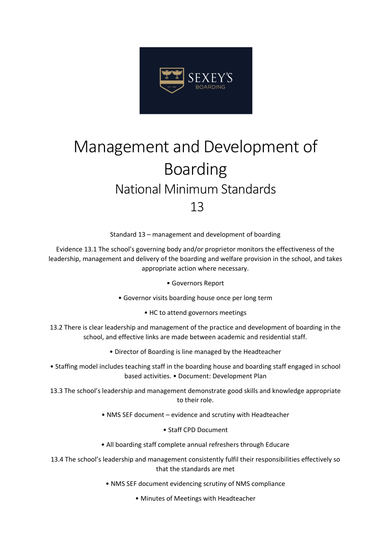

## Management and Development of Boarding National Minimum Standards 13

Standard 13 – management and development of boarding

Evidence 13.1 The school's governing body and/or proprietor monitors the effectiveness of the leadership, management and delivery of the boarding and welfare provision in the school, and takes appropriate action where necessary.

• Governors Report

- Governor visits boarding house once per long term
	- HC to attend governors meetings
- 13.2 There is clear leadership and management of the practice and development of boarding in the school, and effective links are made between academic and residential staff.
	- Director of Boarding is line managed by the Headteacher
- Staffing model includes teaching staff in the boarding house and boarding staff engaged in school based activities. • Document: Development Plan
- 13.3 The school's leadership and management demonstrate good skills and knowledge appropriate to their role.
	- NMS SEF document evidence and scrutiny with Headteacher
		- Staff CPD Document
	- All boarding staff complete annual refreshers through Educare
- 13.4 The school's leadership and management consistently fulfil their responsibilities effectively so that the standards are met
	- NMS SEF document evidencing scrutiny of NMS compliance
		- Minutes of Meetings with Headteacher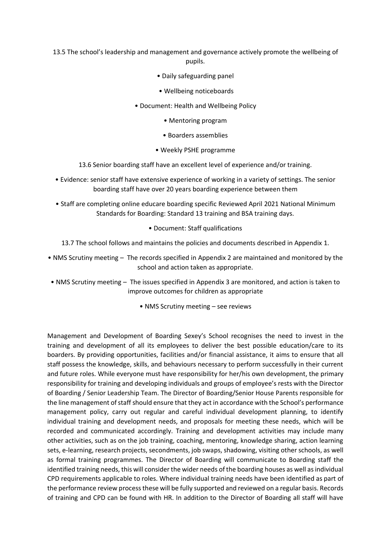13.5 The school's leadership and management and governance actively promote the wellbeing of pupils.

- Daily safeguarding panel
- Wellbeing noticeboards
- Document: Health and Wellbeing Policy
	- Mentoring program
	- Boarders assemblies
	- Weekly PSHE programme
- 13.6 Senior boarding staff have an excellent level of experience and/or training.
- Evidence: senior staff have extensive experience of working in a variety of settings. The senior boarding staff have over 20 years boarding experience between them
- Staff are completing online educare boarding specific Reviewed April 2021 National Minimum Standards for Boarding: Standard 13 training and BSA training days.
	- Document: Staff qualifications
	- 13.7 The school follows and maintains the policies and documents described in Appendix 1.
- NMS Scrutiny meeting The records specified in Appendix 2 are maintained and monitored by the school and action taken as appropriate.
- NMS Scrutiny meeting The issues specified in Appendix 3 are monitored, and action is taken to improve outcomes for children as appropriate
	- NMS Scrutiny meeting see reviews

Management and Development of Boarding Sexey's School recognises the need to invest in the training and development of all its employees to deliver the best possible education/care to its boarders. By providing opportunities, facilities and/or financial assistance, it aims to ensure that all staff possess the knowledge, skills, and behaviours necessary to perform successfully in their current and future roles. While everyone must have responsibility for her/his own development, the primary responsibility for training and developing individuals and groups of employee's rests with the Director of Boarding / Senior Leadership Team. The Director of Boarding/Senior House Parents responsible for the line management of staff should ensure that they act in accordance with the School's performance management policy, carry out regular and careful individual development planning, to identify individual training and development needs, and proposals for meeting these needs, which will be recorded and communicated accordingly. Training and development activities may include many other activities, such as on the job training, coaching, mentoring, knowledge sharing, action learning sets, e-learning, research projects, secondments, job swaps, shadowing, visiting other schools, as well as formal training programmes. The Director of Boarding will communicate to Boarding staff the identified training needs, this will consider the wider needs of the boarding houses as well as individual CPD requirements applicable to roles. Where individual training needs have been identified as part of the performance review process these will be fully supported and reviewed on a regular basis. Records of training and CPD can be found with HR. In addition to the Director of Boarding all staff will have